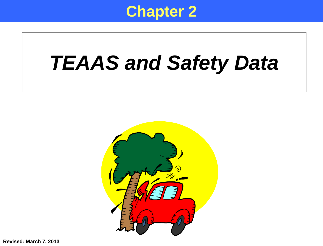

# *TEAAS and Safety Data*



**Revised: March 7, 2013**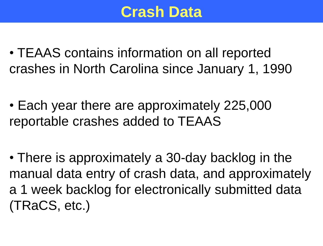### **Crash Data**

- TEAAS contains information on all reported crashes in North Carolina since January 1, 1990
- Each year there are approximately 225,000 reportable crashes added to TEAAS
- There is approximately a 30-day backlog in the manual data entry of crash data, and approximately a 1 week backlog for electronically submitted data (TRaCS, etc.)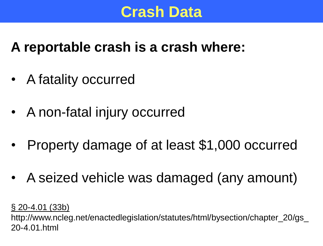#### **Crash Data**

#### **A reportable crash is a crash where:**

- A fatality occurred
- A non-fatal injury occurred
- Property damage of at least \$1,000 occurred
- A seized vehicle was damaged (any amount)

§ 20-4.01 (33b)

http://www.ncleg.net/enactedlegislation/statutes/html/bysection/chapter\_20/gs\_ 20-4.01.html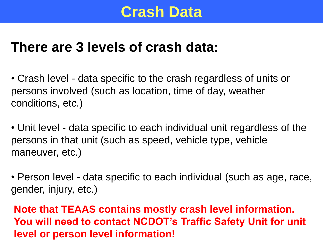#### **Crash Data**

#### **There are 3 levels of crash data:**

• Crash level - data specific to the crash regardless of units or persons involved (such as location, time of day, weather conditions, etc.)

• Unit level - data specific to each individual unit regardless of the persons in that unit (such as speed, vehicle type, vehicle maneuver, etc.)

• Person level - data specific to each individual (such as age, race, gender, injury, etc.)

**Note that TEAAS contains mostly crash level information. You will need to contact NCDOT's Traffic Safety Unit for unit level or person level information!**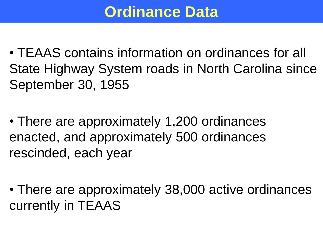# **Ordinance Data**

- TEAAS contains information on ordinances for all State Highway System roads in North Carolina since September 30, 1955
- There are approximately 1,200 ordinances enacted, and approximately 500 ordinances rescinded, each year
- There are approximately 38,000 active ordinances currently in TEAAS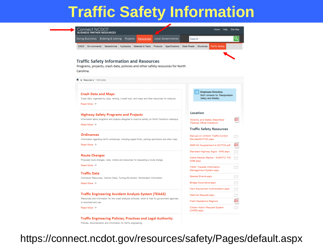### **Traffic Safety Information**



**Traffic Engineering Policies, Practices and Legal Authority** Policies, documentation and information for traffic engineering

https://connect.ncdot.gov/resources/safety/Pages/default.aspx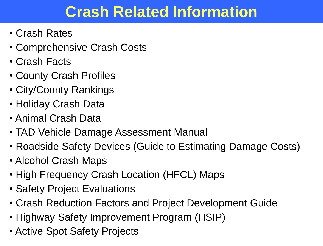# **Crash Related Information**

- Crash Rates
- Comprehensive Crash Costs
- Crash Facts
- County Crash Profiles
- City/County Rankings
- Holiday Crash Data
- Animal Crash Data
- TAD Vehicle Damage Assessment Manual
- Roadside Safety Devices (Guide to Estimating Damage Costs)
- Alcohol Crash Maps
- High Frequency Crash Location (HFCL) Maps
- Safety Project Evaluations
- Crash Reduction Factors and Project Development Guide
- Highway Safety Improvement Program (HSIP)
- Active Spot Safety Projects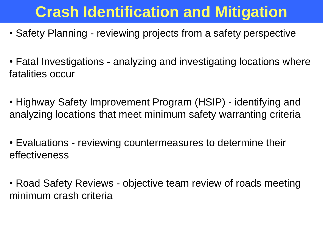# **Crash Identification and Mitigation**

- Safety Planning reviewing projects from a safety perspective
- Fatal Investigations analyzing and investigating locations where fatalities occur
- Highway Safety Improvement Program (HSIP) identifying and analyzing locations that meet minimum safety warranting criteria
- Evaluations reviewing countermeasures to determine their effectiveness
- Road Safety Reviews objective team review of roads meeting minimum crash criteria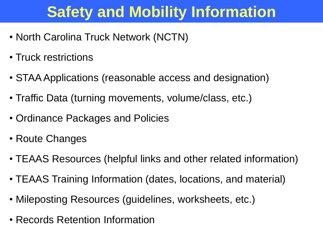# **Safety and Mobility Information**

- North Carolina Truck Network (NCTN)
- Truck restrictions
- STAA Applications (reasonable access and designation)
- Traffic Data (turning movements, volume/class, etc.)
- Ordinance Packages and Policies
- Route Changes
- TEAAS Resources (helpful links and other related information)
- TEAAS Training Information (dates, locations, and material)
- Mileposting Resources (guidelines, worksheets, etc.)
- Records Retention Information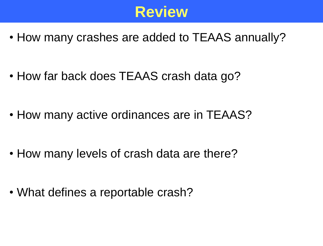

• How many crashes are added to TEAAS annually?

• How far back does TEAAS crash data go?

• How many active ordinances are in TEAAS?

• How many levels of crash data are there?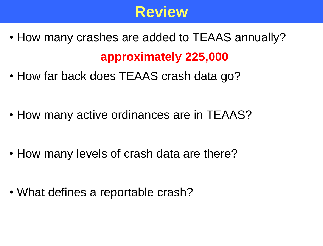

- How many crashes are added to TEAAS annually? **approximately 225,000**
- How far back does TEAAS crash data go?

• How many active ordinances are in TEAAS?

• How many levels of crash data are there?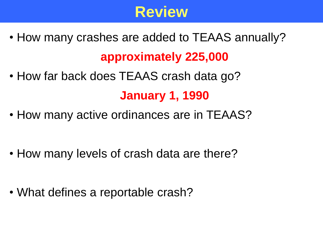

• How many crashes are added to TEAAS annually?

#### **approximately 225,000**

- How far back does TEAAS crash data go? **January 1, 1990**
- How many active ordinances are in TEAAS?
- How many levels of crash data are there?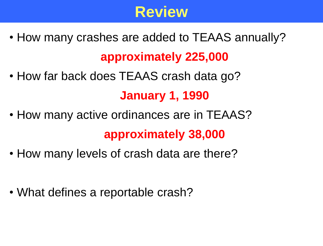## **Review**

• How many crashes are added to TEAAS annually?

#### **approximately 225,000**

- How far back does TEAAS crash data go? **January 1, 1990**
- How many active ordinances are in TEAAS? **approximately 38,000**
- How many levels of crash data are there?
- What defines a reportable crash?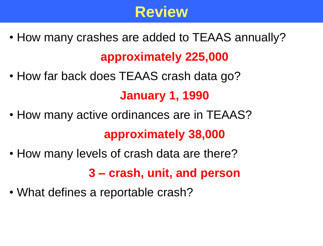## **Review**

• How many crashes are added to TEAAS annually?

#### **approximately 225,000**

- How far back does TEAAS crash data go? **January 1, 1990**
- How many active ordinances are in TEAAS? **approximately 38,000**
- How many levels of crash data are there?

**3 – crash, unit, and person**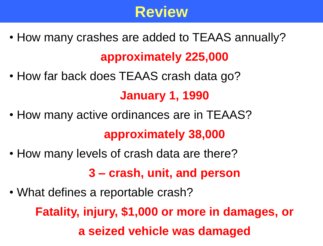## **Review**

• How many crashes are added to TEAAS annually?

#### **approximately 225,000**

- How far back does TEAAS crash data go? **January 1, 1990**
- How many active ordinances are in TEAAS? **approximately 38,000**
- How many levels of crash data are there?

**3 – crash, unit, and person**

• What defines a reportable crash?

**Fatality, injury, \$1,000 or more in damages, or a seized vehicle was damaged**